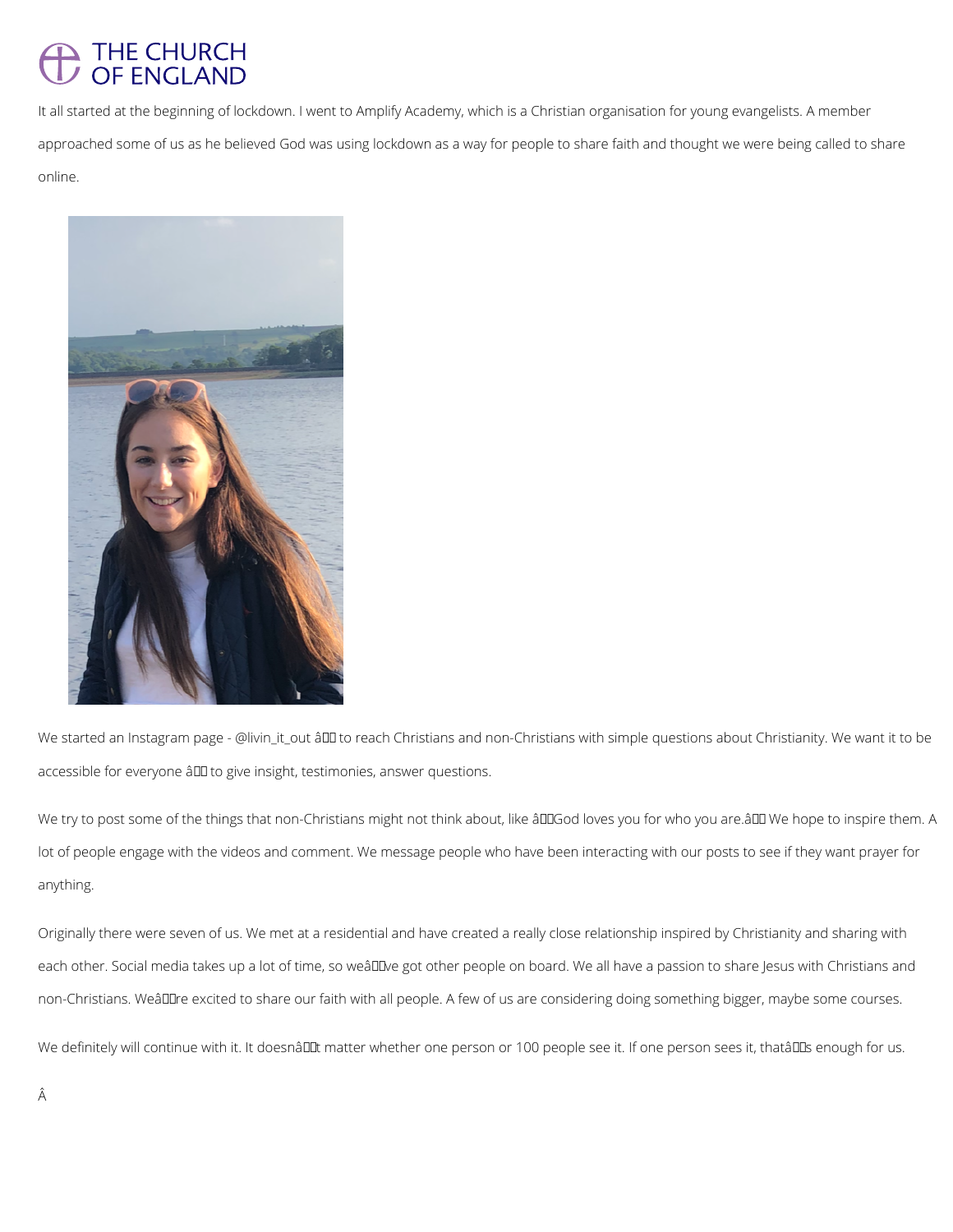## THE CHURCH OF ENGLAND

It all started at the beginning of lockdown. I went to Amplify Academy, which is a Christian organisation for young evangelists. A member approached some of us as he believed God was using lockdown as a way for people to share faith and thought we were being called to share online.



Â

We started an Instagram page - @livin\_it\_out â DI to reach Christians and non-Christians with simple questions about Christianity. We want it to be accessible for everyone â II to give insight, testimonies, answer questions.

We try to post some of the things that non-Christians might not think about, like âDDGod loves you for who you are.âDD We hope to inspire them. A lot of people engage with the videos and comment. We message people who have been interacting with our posts to see if they want prayer for anything.

Originally there were seven of us. We met at a residential and have created a really close relationship inspired by Christianity and sharing with

each other. Social media takes up a lot of time, so weâll we got other people on board. We all have a passion to share Jesus with Christians and

non-Christians. Weâlllre excited to share our faith with all people. A few of us are considering doing something bigger, maybe some courses.

We definitely will continue with it. It doesnâll tmatter whether one person or 100 people see it. If one person sees it, thatâll Is enough for us.